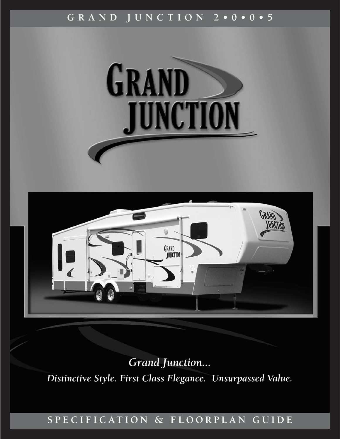# **GRAND JUNCTION 2•0•0•5**



*Grand Junction... Distinctive Style. First Class Elegance. Unsurpassed Value.*

# **SPECIFICATION & FLOORPLAN GUIDE**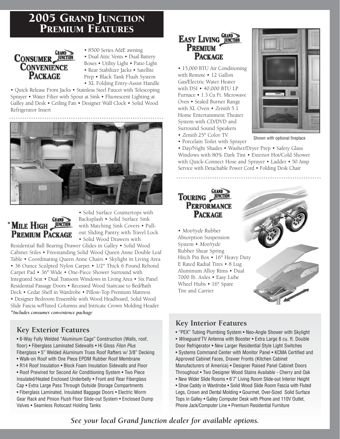# 2005 GRAND JUNCTION PREMIUM FEATURES

# **CONSUMER GRAND**<br>CONVENIENCE **CONVENIENCE PACKAGE**

• 8500 Series A&E awning • Dual Attic Vents • Dual Battery Boxes • Utility Light • Patio Light • Rear Stabilizer Jacks • Satellite Prep • Black Tank Flush System • XL Folding Entry-Assist Handle

• Quick Release Front Jacks • Stainless Steel Faucet with Telescoping Sprayer • Water Filter with Spout at Sink • Fluorescent Lighting at Galley and Desk • Ceiling Fan • Designer Wall Clock • Solid Wood Refrigerator Insert





• Solid Surface Countertops with Backsplash • Solid Surface Sink with Matching Sink Covers • Pullout Sliding Pantry with Travel Lock • Solid Wood Drawers with

Residential Ball Bearing Drawer Glides in Galley • Solid Wood Cabinet Stiles • Freestanding Solid Wood Queen Anne Double Leaf Table • Coordinating Queen Anne Chairs • Skylight in Living Area • 36 Ounce Sculpted Nylon Carpet • 1/2" Thick 6 Pound Rebond Carpet Pad • 36" Wide • One-Piece Shower Surround with Integrated Seat • Dual Transom Windows in Living Area • Six Panel Residential Passage Doors • Recessed Wood Staircase to Bed/Bath Deck • Cedar Shelf in Wardrobe • Pillow-Top Premium Mattress • Designer Bedroom Ensemble with Wood Headboard, Solid Wood Slide Fascia w/Fluted Columns and Intricate Crown Molding Header *\*Includes consumer convenience package*

# **Key Exterior Features**

• 6-Way Fully Welded "Aluminum Cage" Construction (Walls, roof, floor) • Fiberglass Laminated Sidewalls • Hi Gloss Filon Plus Fiberglass • 5" Welded Aluminum Truss Roof Rafters w/ 3/8" Decking

- Walk-on Roof with One Piece EPDM Rubber Roof Membrane
- R14 Roof Insulation Block Foam Insulation Sidewalls and Floor
- Roof Prewired for Second Air Conditioning System Two Piece Insulated/Heated Enclosed Underbelly • Front and Rear Fiberglass Cap • Extra Large Pass Through Outside Storage Compartments • Fiberglass Laminated, Insulated Baggage Doors • Electric Worm Gear Rack and Pinion Flush Floor Slide-out System • Enclosed Dump Valves • Seamless Rotocast Holding Tanks

# EASY LIVING GRAND **PREMIUM PACKAGE**

• 15,000 BTU Air Conditioning with Remote • 12 Gallon Gas/Electric Water Heater with DSI • 40,000 BTU LP Furnace • 1.3 Cu Ft. Microwave Oven • Sealed Burner Range with XL Oven • Zenith 5.1 Home Entertainment Theater System with CD/DVD and Surround Sound Speakers • Zenith 25" Color TV



• Porcelain Toilet with Sprayer

• Day/Night Shades • Washer/Dryer Prep • Safety Glass Windows with 80% Dark Tint • Exterior Hot/Cold Shower with Quick-Connect Hose and Sprayer • Ladder • 50 Amp Service with Detachable Power Cord • Folding Desk Chair

## **GRAND** TOURING JUNCTION **PERFORMANCE PACKAGE**

• Mor/ryde Rubber Absorption Suspension System • Mor/ryde Rubber Shear Spring Hitch Pin Box • 16" Heavy Duty E Rated Radial Tires • 8 Lug Aluminum Alloy Rims • Dual 7000 lb. Axles • Easy Lube Wheel Hubs • 16" Spare Tire and Carrier

# **Key Interior Features**

• "PEX" Tubing Plumbing System • Neo-Angle Shower with Skylight • Wineguard TV Antenna with Booster • Extra Large 8 cu. ft. Double Door Refrigerator • New Larger Residential Style Light Switches • Systems Command Center with Monitor Panel • KCMA Certified and Approved Cabinet Faces, Drawer Fronts (Kitchen Cabinet Manufacturers of America) • Designer Raised Panel Cabinet Doors Throughout • Two Designer Wood Stains Available - Cherry and Oak • New Wider Slide Rooms • 6'7" Living Room Slide-out Interior Height • Shoe Caddy in Wardrobe • Solid Wood Slide Room Fascia with Fluted Legs, Crown and Dental Molding • Gourmet, Over-Sized Solid Surface Tops in Galley • Galley Computer Desk with Phone and 110V Outlet, Phone Jack/Computer Line • Premium Residential Furniture

*See your local Grand Junction dealer for available options.*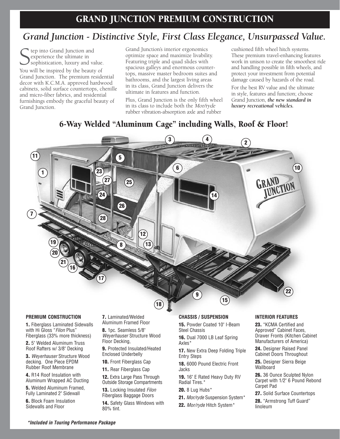# *Grand Junction - Distinctive Style, First Class Elegance, Unsurpassed Value.*

Sep into Grand Junction and<br>
Sexperience the ultimate in<br>
Sophistication, luxury and value<br>
You will be inspired by the beauty of tep into Grand Junction and experience the ultimate in sophistication, luxury and value.

Grand Junction. The premium residential decor with K.C.M.A. approved hardwood cabinets, solid surface countertops, chenille and micro-fiber fabrics, and residential furnishings embody the graceful beauty of Grand Junction.

Grand Junction's interior ergonomics optimize space and maximize livability. Featuring triple and quad slides with spacious galleys and enormous countertops, massive master bedroom suites and bathrooms, and the largest living areas in its class, Grand Junction delivers the ultimate in features and function.

Plus, Grand Junction is the only fifth wheel in its class to include both the Mor/ryde rubber vibration-absorption axle and rubber

cushioned fifth wheel hitch systems. These premium travel-enhancing features work in unison to create the smoothest ride and handling possible in fifth wheels, and protect your investment from potential damage caused by hazards of the road.

For the best RV value and the ultimate in style, features and function; choose Grand Junction, *the new standard in luxury recreational vehicles.* 

# 6-Way Welded ''Aluminum Cage" including Walls, Roof & Floor!



#### **PREMIUM CONSTRUCTION**

**1.** Fiberglass Laminated Sidewalls with Hi Gloss "Filon Plus" Fiberglass (33% more thickness)

**2.** 5" Welded Aluminum Truss Roof Rafters w/ 3/8" Decking

**3.** Weyerhauser Structure Wood decking. One Piece EPDM Rubber Roof Membrane

**4.** R14 Roof Insulation with Aluminum Wrapped AC Ducting

**5.** Welded Aluminum Framed, Fully Laminated 2" Sidewall

**6.** Block Foam Insulation Sidewalls and Floor

**7.** Laminated/Welded Aluminum Framed Floor

**8.** 1pc. Seamless 5/8" Weyerhauser Structure Wood Floor Decking,

**9.** Protected Insulated/Heated Enclosed Underbelly

**10.** Front Fiberglass Cap

**11.** Rear Fiberglass Cap

**12.** Extra Large Pass Through Outside Storage Compartments

**13.** Locking Insulated Filon Fiberglass Baggage Doors

**14.** Safety Glass Windows with 80% tint.

#### **CHASSIS / SUSPENSION**

**15.** Powder Coated 10" I-Beam Steel Chassis

**16.** Dual 7000 LB Leaf Spring Axles\*

**17.** New Extra Deep Folding Triple Entry Steps

**18.** 6000 Pound Electric Front Jacks

**19.** 16" E Rated Heavy Duty RV Radial Tires.\*

**20.** 8 Lug Hubs\*

**21.** Mor/ryde Suspension System\*

**22.** Mor/ryde Hitch System\*

### **INTERIOR FEATURES**

**23.** "KCMA Certified and Approved" Cabinet Faces, Drawer Fronts (Kitchen Cabinet Manufacturers of America)

**24.** Designer Raised Panel Cabinet Doors Throughout

**25.** Designer Sierra Beige Wallboard

**26.** 36 Ounce Sculpted Nylon Carpet with 1/2" 6 Pound Rebond Carpet Pad

**27.** Solid Surface Countertops

**28.** "Armstrong Tuff Guard" linoleum